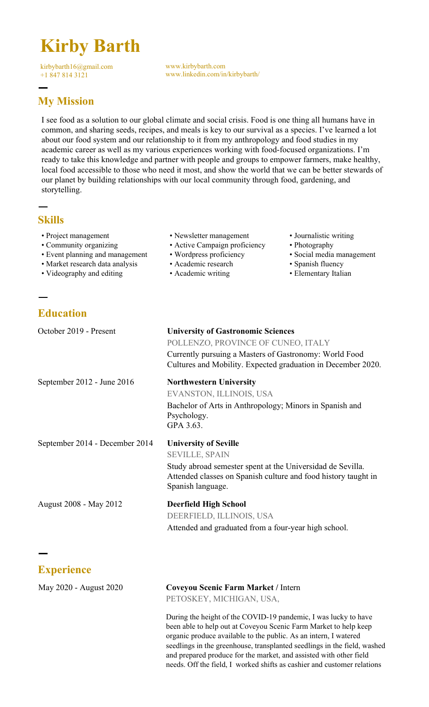# **Kirby Barth**

kirbybarth16@gmail.com +1 847 814 3121

www.kirbybarth.com www.linkedin.com/in/kirbybarth/

## ㅡ **My Mission**

I see food as a solution to our global climate and social crisis. Food is one thing all humans have in common, and sharing seeds, recipes, and meals is key to our survival as a species. I've learned a lot about our food system and our relationship to it from my anthropology and food studies in my academic career as well as my various experiences working with food-focused organizations. I'm ready to take this knowledge and partner with people and groups to empower farmers, make healthy, local food accessible to those who need it most, and show the world that we can be better stewards of our planet by building relationships with our local community through food, gardening, and storytelling.

## **Skills**

ㅡ

ㅡ

- Project management
- Community organizing
- Event planning and management
- Market research data analysis
- Videography and editing

# **Education**

- Newsletter management
- Active Campaign proficiency
- Wordpress proficiency
- Academic research
- Academic writing
- Journalistic writing
- Photography
- Social media management
- Spanish fluency
- Elementary Italian

| October 2019 - Present         | <b>University of Gastronomic Sciences</b><br>POLLENZO, PROVINCE OF CUNEO, ITALY<br>Currently pursuing a Masters of Gastronomy: World Food<br>Cultures and Mobility. Expected graduation in December 2020.  |
|--------------------------------|------------------------------------------------------------------------------------------------------------------------------------------------------------------------------------------------------------|
| September 2012 - June 2016     | <b>Northwestern University</b><br>EVANSTON, ILLINOIS, USA<br>Bachelor of Arts in Anthropology; Minors in Spanish and<br>Psychology.<br>GPA 3.63.                                                           |
| September 2014 - December 2014 | <b>University of Seville</b><br><b>SEVILLE, SPAIN</b><br>Study abroad semester spent at the Universidad de Sevilla.<br>Attended classes on Spanish culture and food history taught in<br>Spanish language. |
| August 2008 - May 2012         | <b>Deerfield High School</b><br>DEERFIELD, ILLINOIS, USA<br>Attended and graduated from a four-year high school.                                                                                           |
|                                |                                                                                                                                                                                                            |
| <b>Experience</b>              |                                                                                                                                                                                                            |
| May 2020 - August 2020         | <b>Coveyou Scenic Farm Market / Intern</b>                                                                                                                                                                 |

PETOSKEY, MICHIGAN, USA,

During the height of the COVID-19 pandemic, I was lucky to have been able to help out at Coveyou Scenic Farm Market to help keep organic produce available to the public. As an intern, I watered seedlings in the greenhouse, transplanted seedlings in the field, washed and prepared produce for the market, and assisted with other field needs. Off the field, I worked shifts as cashier and customer relations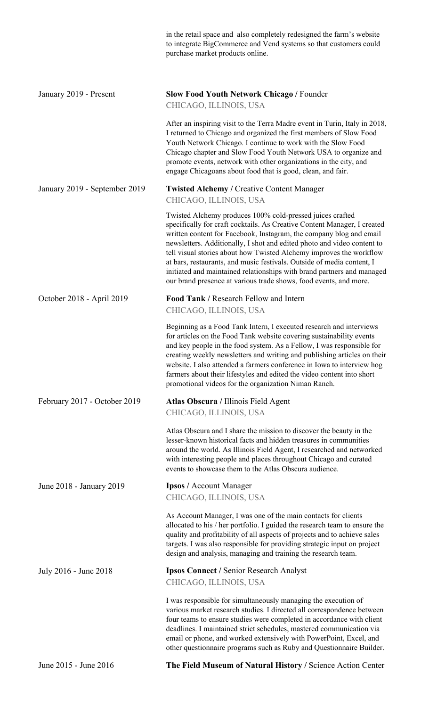|                               | in the retail space and also completely redesigned the farm's website<br>to integrate BigCommerce and Vend systems so that customers could<br>purchase market products online.                                                                                                                                                                                                                                                                                                                                                                                                          |
|-------------------------------|-----------------------------------------------------------------------------------------------------------------------------------------------------------------------------------------------------------------------------------------------------------------------------------------------------------------------------------------------------------------------------------------------------------------------------------------------------------------------------------------------------------------------------------------------------------------------------------------|
| January 2019 - Present        | <b>Slow Food Youth Network Chicago / Founder</b><br>CHICAGO, ILLINOIS, USA                                                                                                                                                                                                                                                                                                                                                                                                                                                                                                              |
|                               | After an inspiring visit to the Terra Madre event in Turin, Italy in 2018,<br>I returned to Chicago and organized the first members of Slow Food<br>Youth Network Chicago. I continue to work with the Slow Food<br>Chicago chapter and Slow Food Youth Network USA to organize and<br>promote events, network with other organizations in the city, and<br>engage Chicagoans about food that is good, clean, and fair.                                                                                                                                                                 |
| January 2019 - September 2019 | <b>Twisted Alchemy / Creative Content Manager</b><br>CHICAGO, ILLINOIS, USA                                                                                                                                                                                                                                                                                                                                                                                                                                                                                                             |
|                               | Twisted Alchemy produces 100% cold-pressed juices crafted<br>specifically for craft cocktails. As Creative Content Manager, I created<br>written content for Facebook, Instagram, the company blog and email<br>newsletters. Additionally, I shot and edited photo and video content to<br>tell visual stories about how Twisted Alchemy improves the workflow<br>at bars, restaurants, and music festivals. Outside of media content, I<br>initiated and maintained relationships with brand partners and managed<br>our brand presence at various trade shows, food events, and more. |
| October 2018 - April 2019     | Food Tank / Research Fellow and Intern<br>CHICAGO, ILLINOIS, USA                                                                                                                                                                                                                                                                                                                                                                                                                                                                                                                        |
|                               | Beginning as a Food Tank Intern, I executed research and interviews<br>for articles on the Food Tank website covering sustainability events<br>and key people in the food system. As a Fellow, I was responsible for<br>creating weekly newsletters and writing and publishing articles on their<br>website. I also attended a farmers conference in Iowa to interview hog<br>farmers about their lifestyles and edited the video content into short<br>promotional videos for the organization Niman Ranch.                                                                            |
| February 2017 - October 2019  | Atlas Obscura / Illinois Field Agent<br>CHICAGO, ILLINOIS, USA                                                                                                                                                                                                                                                                                                                                                                                                                                                                                                                          |
|                               | Atlas Obscura and I share the mission to discover the beauty in the<br>lesser-known historical facts and hidden treasures in communities<br>around the world. As Illinois Field Agent, I researched and networked<br>with interesting people and places throughout Chicago and curated<br>events to showcase them to the Atlas Obscura audience.                                                                                                                                                                                                                                        |
| June 2018 - January 2019      | <b>Ipsos / Account Manager</b><br>CHICAGO, ILLINOIS, USA                                                                                                                                                                                                                                                                                                                                                                                                                                                                                                                                |
|                               | As Account Manager, I was one of the main contacts for clients<br>allocated to his / her portfolio. I guided the research team to ensure the<br>quality and profitability of all aspects of projects and to achieve sales<br>targets. I was also responsible for providing strategic input on project<br>design and analysis, managing and training the research team.                                                                                                                                                                                                                  |
| July 2016 - June 2018         | <b>Ipsos Connect / Senior Research Analyst</b><br>CHICAGO, ILLINOIS, USA                                                                                                                                                                                                                                                                                                                                                                                                                                                                                                                |
|                               | I was responsible for simultaneously managing the execution of<br>various market research studies. I directed all correspondence between<br>four teams to ensure studies were completed in accordance with client<br>deadlines. I maintained strict schedules, mastered communication via<br>email or phone, and worked extensively with PowerPoint, Excel, and<br>other questionnaire programs such as Ruby and Questionnaire Builder.                                                                                                                                                 |

June 2015 - June 2016 **The Field Museum of Natural History /** Science Action Center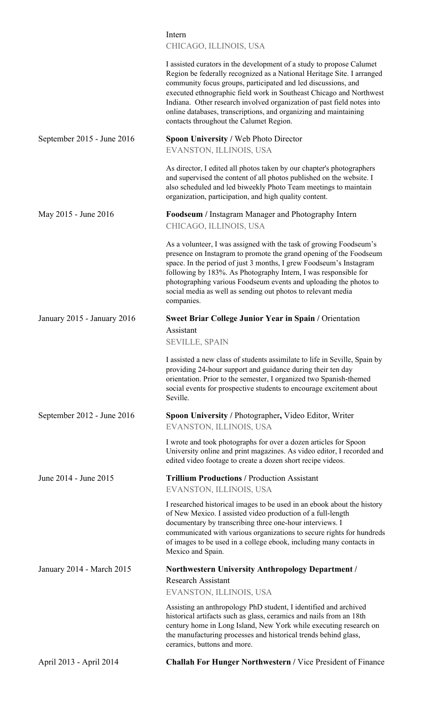### Intern CHICAGO, ILLINOIS, USA

|                             | I assisted curators in the development of a study to propose Calumet<br>Region be federally recognized as a National Heritage Site. I arranged<br>community focus groups, participated and led discussions, and<br>executed ethnographic field work in Southeast Chicago and Northwest<br>Indiana. Other research involved organization of past field notes into<br>online databases, transcriptions, and organizing and maintaining<br>contacts throughout the Calumet Region. |
|-----------------------------|---------------------------------------------------------------------------------------------------------------------------------------------------------------------------------------------------------------------------------------------------------------------------------------------------------------------------------------------------------------------------------------------------------------------------------------------------------------------------------|
| September 2015 - June 2016  | <b>Spoon University / Web Photo Director</b>                                                                                                                                                                                                                                                                                                                                                                                                                                    |
|                             | EVANSTON, ILLINOIS, USA                                                                                                                                                                                                                                                                                                                                                                                                                                                         |
|                             | As director, I edited all photos taken by our chapter's photographers<br>and supervised the content of all photos published on the website. I<br>also scheduled and led biweekly Photo Team meetings to maintain<br>organization, participation, and high quality content.                                                                                                                                                                                                      |
| May 2015 - June 2016        | <b>Foodseum</b> / Instagram Manager and Photography Intern<br>CHICAGO, ILLINOIS, USA                                                                                                                                                                                                                                                                                                                                                                                            |
|                             | As a volunteer, I was assigned with the task of growing Foodseum's<br>presence on Instagram to promote the grand opening of the Foodseum<br>space. In the period of just 3 months, I grew Foodseum's Instagram<br>following by 183%. As Photography Intern, I was responsible for<br>photographing various Foodseum events and uploading the photos to<br>social media as well as sending out photos to relevant media<br>companies.                                            |
| January 2015 - January 2016 | <b>Sweet Briar College Junior Year in Spain / Orientation</b>                                                                                                                                                                                                                                                                                                                                                                                                                   |
|                             | Assistant                                                                                                                                                                                                                                                                                                                                                                                                                                                                       |
|                             | <b>SEVILLE, SPAIN</b>                                                                                                                                                                                                                                                                                                                                                                                                                                                           |
|                             | I assisted a new class of students assimilate to life in Seville, Spain by<br>providing 24-hour support and guidance during their ten day<br>orientation. Prior to the semester, I organized two Spanish-themed<br>social events for prospective students to encourage excitement about<br>Seville.                                                                                                                                                                             |
| September 2012 - June 2016  | Spoon University / Photographer, Video Editor, Writer<br>EVANSTON, ILLINOIS, USA                                                                                                                                                                                                                                                                                                                                                                                                |
|                             | I wrote and took photographs for over a dozen articles for Spoon<br>University online and print magazines. As video editor, I recorded and<br>edited video footage to create a dozen short recipe videos.                                                                                                                                                                                                                                                                       |
| June 2014 - June 2015       | <b>Trillium Productions / Production Assistant</b><br>EVANSTON, ILLINOIS, USA                                                                                                                                                                                                                                                                                                                                                                                                   |
|                             | I researched historical images to be used in an ebook about the history<br>of New Mexico. I assisted video production of a full-length<br>documentary by transcribing three one-hour interviews. I<br>communicated with various organizations to secure rights for hundreds<br>of images to be used in a college ebook, including many contacts in<br>Mexico and Spain.                                                                                                         |
| January 2014 - March 2015   | <b>Northwestern University Anthropology Department /</b>                                                                                                                                                                                                                                                                                                                                                                                                                        |
|                             | <b>Research Assistant</b><br>EVANSTON, ILLINOIS, USA                                                                                                                                                                                                                                                                                                                                                                                                                            |
|                             | Assisting an anthropology PhD student, I identified and archived<br>historical artifacts such as glass, ceramics and nails from an 18th<br>century home in Long Island, New York while executing research on<br>the manufacturing processes and historical trends behind glass,<br>ceramics, buttons and more.                                                                                                                                                                  |
| April 2013 - April 2014     | Challah For Hunger Northwestern / Vice President of Finance                                                                                                                                                                                                                                                                                                                                                                                                                     |